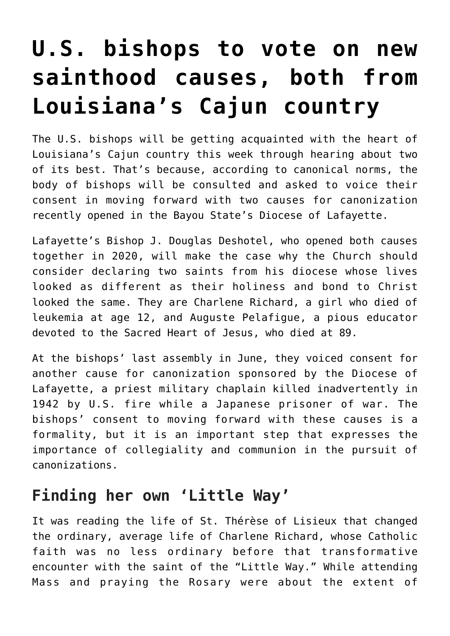## **[U.S. bishops to vote on new](https://www.osvnews.com/2021/11/15/u-s-bishops-to-vote-on-new-sainthood-causes-both-from-louisianas-cajun-country/) [sainthood causes, both from](https://www.osvnews.com/2021/11/15/u-s-bishops-to-vote-on-new-sainthood-causes-both-from-louisianas-cajun-country/) [Louisiana's Cajun country](https://www.osvnews.com/2021/11/15/u-s-bishops-to-vote-on-new-sainthood-causes-both-from-louisianas-cajun-country/)**

The U.S. bishops will be getting acquainted with the heart of Louisiana's Cajun country this week through hearing about two of its best. That's because, according to canonical norms, the body of bishops will be consulted and asked to voice their consent in moving forward with two causes for canonization recently opened in the Bayou State's Diocese of Lafayette.

Lafayette's Bishop J. Douglas Deshotel, who opened both causes together in 2020, will make the case why the Church should consider declaring two saints from his diocese whose lives looked as different as their holiness and bond to Christ looked the same. They are Charlene Richard, a girl who died of leukemia at age 12, and Auguste Pelafigue, a pious educator devoted to the Sacred Heart of Jesus, who died at 89.

At the bishops' last assembly in June, they voiced consent for another cause for canonization sponsored by the Diocese of Lafayette, a priest military chaplain killed inadvertently in 1942 by U.S. fire while a Japanese prisoner of war. The bishops' consent to moving forward with these causes is a formality, but it is an important step that expresses the importance of collegiality and communion in the pursuit of canonizations.

## **Finding her own 'Little Way'**

It was reading the life of St. Thérèse of Lisieux that changed the ordinary, average life of Charlene Richard, whose Catholic faith was no less ordinary before that transformative encounter with the saint of the "Little Way." While attending Mass and praying the Rosary were about the extent of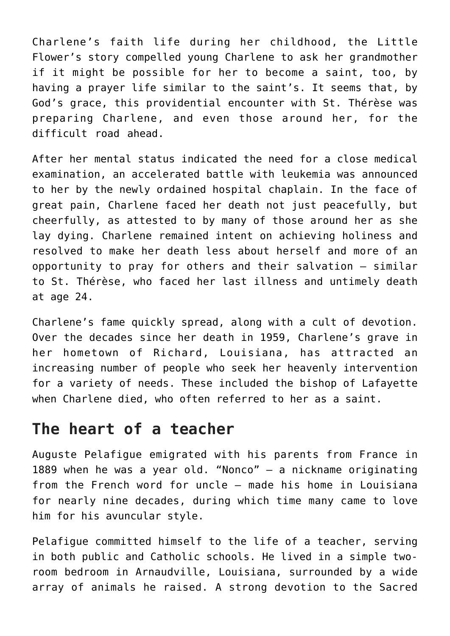Charlene's faith life during her childhood, the Little Flower's story compelled young Charlene to ask her grandmother if it might be possible for her to become a saint, too, by having a prayer life similar to the saint's. It seems that, by God's grace, this providential encounter with St. Thérèse was preparing Charlene, and even those around her, for the difficult road ahead.

After her mental status indicated the need for a close medical examination, an accelerated battle with leukemia was announced to her by the newly ordained hospital chaplain. In the face of great pain, Charlene faced her death not just peacefully, but cheerfully, as attested to by many of those around her as she lay dying. Charlene remained intent on achieving holiness and resolved to make her death less about herself and more of an opportunity to pray for others and their salvation — similar to St. Thérèse, who faced her last illness and untimely death at age 24.

Charlene's fame quickly spread, along with a cult of devotion. Over the decades since her death in 1959, Charlene's grave in her hometown of Richard, Louisiana, has attracted an increasing number of people who seek her heavenly intervention for a variety of needs. These included the bishop of Lafayette when Charlene died, who often referred to her as a saint.

## **The heart of a teacher**

Auguste Pelafigue emigrated with his parents from France in 1889 when he was a year old. "Nonco" — a nickname originating from the French word for uncle — made his home in Louisiana for nearly nine decades, during which time many came to love him for his avuncular style.

Pelafigue committed himself to the life of a teacher, serving in both public and Catholic schools. He lived in a simple tworoom bedroom in Arnaudville, Louisiana, surrounded by a wide array of animals he raised. A strong devotion to the Sacred